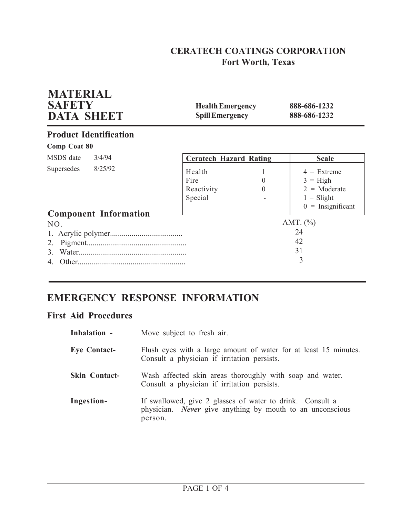# **CERATECH COATINGS CORPORATION Fort Worth, Texas**

| <b>MATERIAL</b><br><b>SAFETY</b><br><b>DATA SHEET</b> | <b>Health Emergency</b><br><b>Spill Emergency</b> |                      | 888-686-1232<br>888-686-1232                                                                |
|-------------------------------------------------------|---------------------------------------------------|----------------------|---------------------------------------------------------------------------------------------|
| <b>Product Identification</b>                         |                                                   |                      |                                                                                             |
| <b>Comp Coat 80</b>                                   |                                                   |                      |                                                                                             |
| MSDS date<br>3/4/94                                   | <b>Ceratech Hazard Rating</b>                     |                      | <b>Scale</b>                                                                                |
| 8/25/92<br>Supersedes<br><b>Component Information</b> | Health<br>Fire<br>Reactivity<br>Special           | $\theta$<br>$\theta$ | $4 =$ Extreme<br>$3 = High$<br>$2 = \text{Moderate}$<br>$1 =$ Slight<br>$0 =$ Insignificant |
| NO.<br>2.<br>3                                        |                                                   |                      | AMT. $(\% )$<br>24<br>42<br>31<br>3                                                         |

# **EMERGENCY RESPONSE INFORMATION**

## **First Aid Procedures**

| Inhalation -         | Move subject to fresh air.                                                                                                               |
|----------------------|------------------------------------------------------------------------------------------------------------------------------------------|
| <b>Eye Contact-</b>  | Flush eyes with a large amount of water for at least 15 minutes.<br>Consult a physician if irritation persists.                          |
| <b>Skin Contact-</b> | Wash affected skin areas thoroughly with soap and water.<br>Consult a physician if irritation persists.                                  |
| Ingestion-           | If swallowed, give 2 glasses of water to drink. Consult a<br>physician. <i>Never</i> give anything by mouth to an unconscious<br>person. |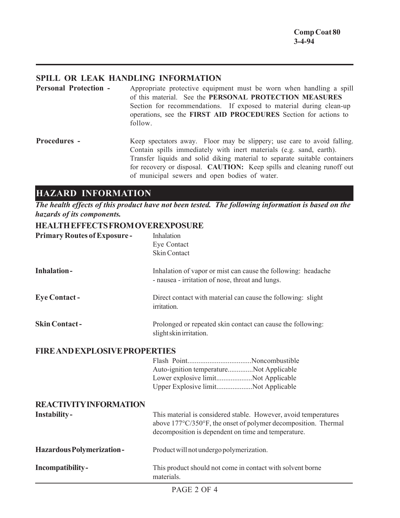## **SPILL OR LEAK HANDLING INFORMATION**

**Personal Protection -** Appropriate protective equipment must be worn when handling a spill of this material. See the **PERSONAL PROTECTION MEASURES** Section for recommendations. If exposed to material during clean-up operations, see the **FIRST AID PROCEDURES** Section for actions to follow.

**Procedures -** Keep spectators away. Floor may be slippery; use care to avoid falling. Contain spills immediately with inert materials (e.g. sand, earth). Transfer liquids and solid diking material to separate suitable containers for recovery or disposal. **CAUTION:** Keep spills and cleaning runoff out of municipal sewers and open bodies of water.

## **HAZARD INFORMATION**

*The health effects of this product have not been tested. The following information is based on the hazards of its components.*

## **HEALTH EFFECTS FROM OVEREXPOSURE**

| <b>Primary Routes of Exposure -</b>  | Inhalation<br>Eye Contact<br><b>Skin Contact</b>                                                                                                                                         |
|--------------------------------------|------------------------------------------------------------------------------------------------------------------------------------------------------------------------------------------|
| <b>Inhalation-</b>                   | Inhalation of vapor or mist can cause the following: headache<br>- nausea - irritation of nose, throat and lungs.                                                                        |
| <b>Eye Contact-</b>                  | Direct contact with material can cause the following: slight<br>irritation.                                                                                                              |
| <b>Skin Contact-</b>                 | Prolonged or repeated skin contact can cause the following:<br>slight skin irritation.                                                                                                   |
| <b>FIRE AND EXPLOSIVE PROPERTIES</b> |                                                                                                                                                                                          |
|                                      | Auto-ignition temperatureNot Applicable<br>Lower explosive limitNot Applicable<br>Upper Explosive limitNot Applicable                                                                    |
| <b>REACTIVITY INFORMATION</b>        |                                                                                                                                                                                          |
| Instability-                         | This material is considered stable. However, avoid temperatures<br>above 177°C/350°F, the onset of polymer decomposition. Thermal<br>decomposition is dependent on time and temperature. |
| <b>Hazardous Polymerization-</b>     | Product will not undergo polymerization.                                                                                                                                                 |
| Incompatibility-                     | This product should not come in contact with solvent borne<br>materials.                                                                                                                 |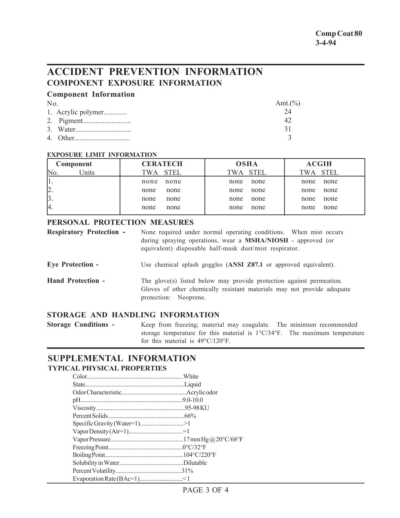# **ACCIDENT PREVENTION INFORMATION COMPONENT EXPOSURE INFORMATION**

### **Component Information**

| N <sub>0</sub> |                    | Amt. $(\%)$ |
|----------------|--------------------|-------------|
|                | 1. Acrylic polymer |             |
|                |                    |             |
|                |                    |             |
|                |                    |             |

#### **EXPOSURE LIMIT INFORMATION**

| Component                 | <b>CERATECH</b>    | <b>OSHA</b> | <b>ACGIH</b> |
|---------------------------|--------------------|-------------|--------------|
| Inits <sup>'</sup><br>No. | <b>STEL</b><br>TWA | TWA STEL    | TWA STEL     |
|                           | none               | none        | none         |
|                           | none               | none        | none         |
| 2.                        | none               | none        | none         |
|                           | none               | none        | none         |
| $\beta$ .                 | none               | none        | none         |
|                           | none               | none        | none         |
| 4.                        | none               | none        | none         |
|                           | none               | none        | none         |

### **PERSONAL PROTECTION MEASURES**

| <b>Respiratory Protection -</b> | None required under normal operating conditions. When mist occurs<br>during spraying operations, wear a MSHA/NIOSH - approved (or<br>equivalent) disposable half-mask dust/mist respirator. |
|---------------------------------|---------------------------------------------------------------------------------------------------------------------------------------------------------------------------------------------|
| <b>Eye Protection -</b>         | Use chemical splash goggles (ANSI Z87.1 or approved equivalent).                                                                                                                            |
| <b>Hand Protection -</b>        | The glove(s) listed below may provide protection against permeation.<br>Gloves of other chemically resistant materials may not provide adequate<br>protection: Neoprene.                    |

## **STORAGE AND HANDLING INFORMATION**

**Storage Conditions -** Keep from freezing; material may coagulate. The minimum recommended storage temperature for this material is 1°C/34°F. The maximum temperature for this material is 49°C/120°F.

## **SUPPLEMENTAL INFORMATION TYPICAL PHYSICAL PROPERTIES**

| Specific Gravity (Water=1)>1 |  |
|------------------------------|--|
|                              |  |
|                              |  |
|                              |  |
|                              |  |
|                              |  |
|                              |  |
|                              |  |